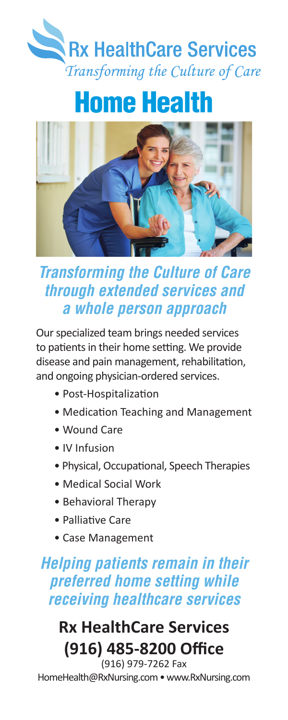

# Home Health



## *Transforming the Culture of Care through extended services and a whole person approach*

Our specialized team brings needed services to patients in their home setting. We provide disease and pain management, rehabilitation, and ongoing physician-ordered services.

- Post-Hospitalization
- Medication Teaching and Management
- Wound Care
- IV Infusion
- Physical, Occupational, Speech Therapies
- Medical Social Work
- Behavioral Therapy
- Palliative Care
- Case Management

## *Helping patients remain in their preferred home setting while receiving healthcare services*

### **Rx HealthCare Services (916) 485-8200 Office** (916) 979-7262 Fax

HomeHealth@RxNursing.com • www.RxNursing.com